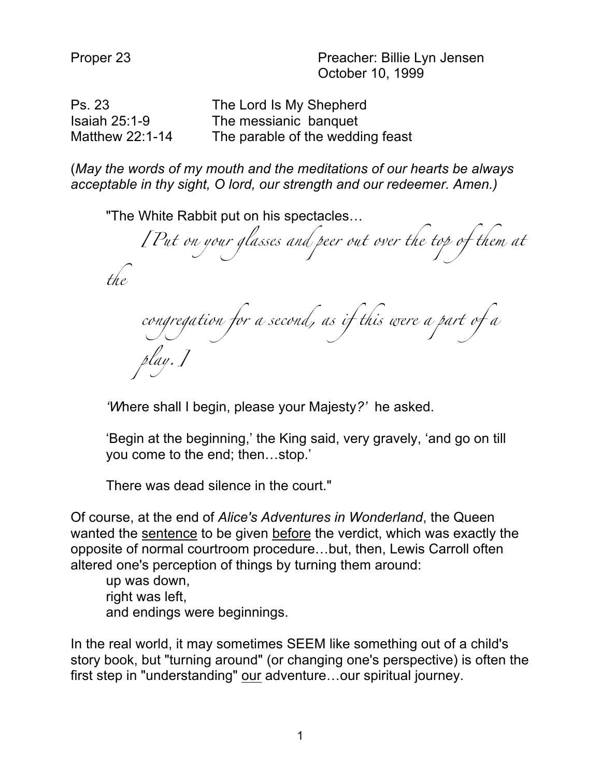Proper 23 Preacher: Billie Lyn Jensen October 10, 1999

| Ps. 23          | The Lord Is My Shepherd          |
|-----------------|----------------------------------|
| Isaiah $25:1-9$ | The messianic banquet            |
| Matthew 22:1-14 | The parable of the wedding feast |

(*May the words of my mouth and the meditations of our hearts be always acceptable in thy sight, O lord, our strength and our redeemer. Amen.)*

"The White Rabbit put on his spectacles… *[Put on your glasses and peer out over the top of them at the congregation for a second, as if this were a part of a play.]*

*'W*here shall I begin, please your Majesty*?'* he asked.

'Begin at the beginning,' the King said, very gravely, 'and go on till you come to the end; then…stop.'

There was dead silence in the court."

Of course, at the end of *Alice's Adventures in Wonderland*, the Queen wanted the sentence to be given before the verdict, which was exactly the opposite of normal courtroom procedure…but, then, Lewis Carroll often altered one's perception of things by turning them around:

up was down, right was left, and endings were beginnings.

In the real world, it may sometimes SEEM like something out of a child's story book, but "turning around" (or changing one's perspective) is often the first step in "understanding" our adventure…our spiritual journey.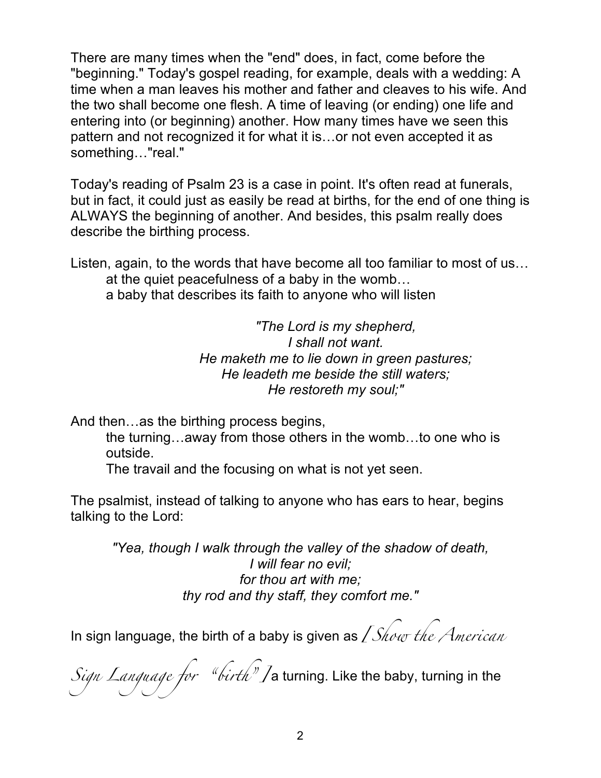There are many times when the "end" does, in fact, come before the "beginning." Today's gospel reading, for example, deals with a wedding: A time when a man leaves his mother and father and cleaves to his wife. And the two shall become one flesh. A time of leaving (or ending) one life and entering into (or beginning) another. How many times have we seen this pattern and not recognized it for what it is…or not even accepted it as something…"real."

Today's reading of Psalm 23 is a case in point. It's often read at funerals, but in fact, it could just as easily be read at births, for the end of one thing is ALWAYS the beginning of another. And besides, this psalm really does describe the birthing process.

Listen, again, to the words that have become all too familiar to most of us… at the quiet peacefulness of a baby in the womb… a baby that describes its faith to anyone who will listen

> *"The Lord is my shepherd, I shall not want. He maketh me to lie down in green pastures; He leadeth me beside the still waters; He restoreth my soul;"*

And then…as the birthing process begins,

the turning…away from those others in the womb…to one who is outside.

The travail and the focusing on what is not yet seen.

The psalmist, instead of talking to anyone who has ears to hear, begins talking to the Lord:

*"Yea, though I walk through the valley of the shadow of death, I will fear no evil; for thou art with me; thy rod and thy staff, they comfort me."*

In sign language, the birth of a baby is given as *[Show the American* 

*Sign Language for "birth"]* a turning. Like the baby, turning in the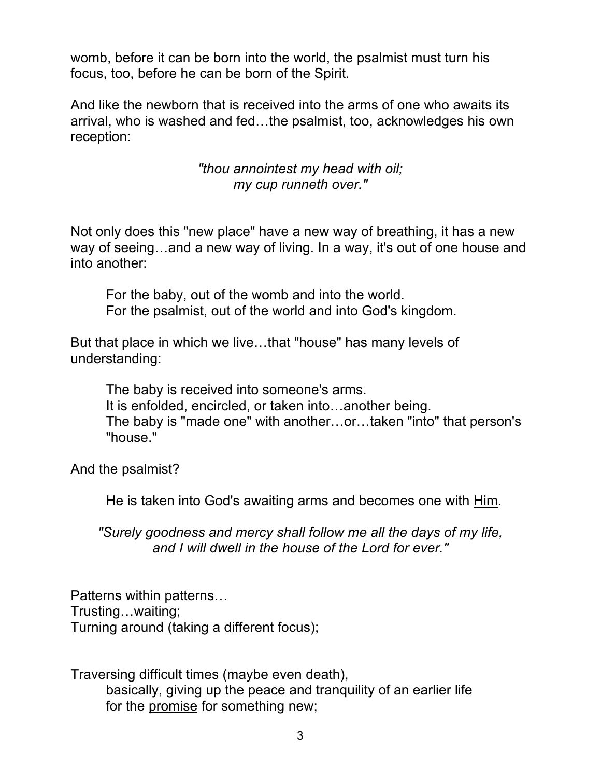womb, before it can be born into the world, the psalmist must turn his focus, too, before he can be born of the Spirit.

And like the newborn that is received into the arms of one who awaits its arrival, who is washed and fed…the psalmist, too, acknowledges his own reception:

> *"thou annointest my head with oil; my cup runneth over."*

Not only does this "new place" have a new way of breathing, it has a new way of seeing…and a new way of living. In a way, it's out of one house and into another:

For the baby, out of the womb and into the world. For the psalmist, out of the world and into God's kingdom.

But that place in which we live…that "house" has many levels of understanding:

The baby is received into someone's arms. It is enfolded, encircled, or taken into…another being. The baby is "made one" with another…or…taken "into" that person's "house."

And the psalmist?

He is taken into God's awaiting arms and becomes one with Him.

*"Surely goodness and mercy shall follow me all the days of my life, and I will dwell in the house of the Lord for ever."*

Patterns within patterns… Trusting…waiting; Turning around (taking a different focus);

Traversing difficult times (maybe even death), basically, giving up the peace and tranquility of an earlier life for the promise for something new;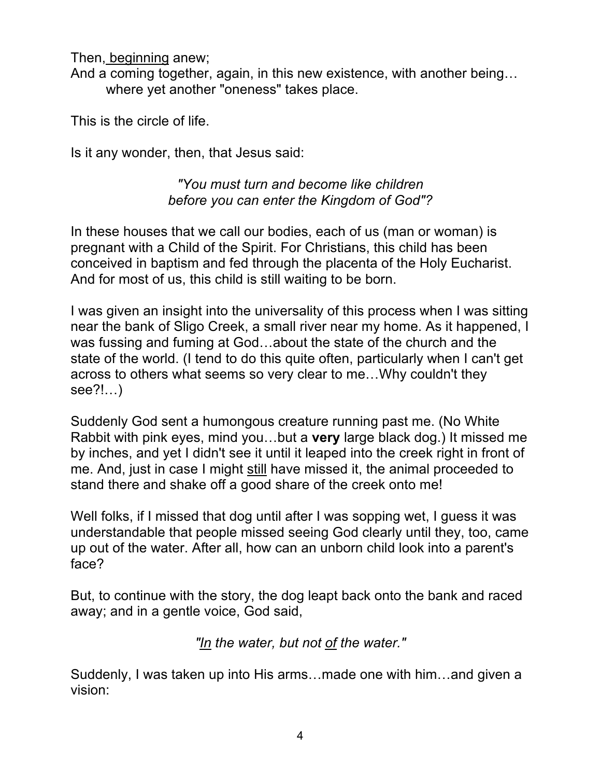Then, beginning anew;

And a coming together, again, in this new existence, with another being… where yet another "oneness" takes place.

This is the circle of life.

Is it any wonder, then, that Jesus said:

## *"You must turn and become like children before you can enter the Kingdom of God"?*

In these houses that we call our bodies, each of us (man or woman) is pregnant with a Child of the Spirit. For Christians, this child has been conceived in baptism and fed through the placenta of the Holy Eucharist. And for most of us, this child is still waiting to be born.

I was given an insight into the universality of this process when I was sitting near the bank of Sligo Creek, a small river near my home. As it happened, I was fussing and fuming at God…about the state of the church and the state of the world. (I tend to do this quite often, particularly when I can't get across to others what seems so very clear to me…Why couldn't they see?!…)

Suddenly God sent a humongous creature running past me. (No White Rabbit with pink eyes, mind you…but a **very** large black dog.) It missed me by inches, and yet I didn't see it until it leaped into the creek right in front of me. And, just in case I might still have missed it, the animal proceeded to stand there and shake off a good share of the creek onto me!

Well folks, if I missed that dog until after I was sopping wet, I guess it was understandable that people missed seeing God clearly until they, too, came up out of the water. After all, how can an unborn child look into a parent's face?

But, to continue with the story, the dog leapt back onto the bank and raced away; and in a gentle voice, God said,

*"In the water, but not of the water."*

Suddenly, I was taken up into His arms…made one with him…and given a vision: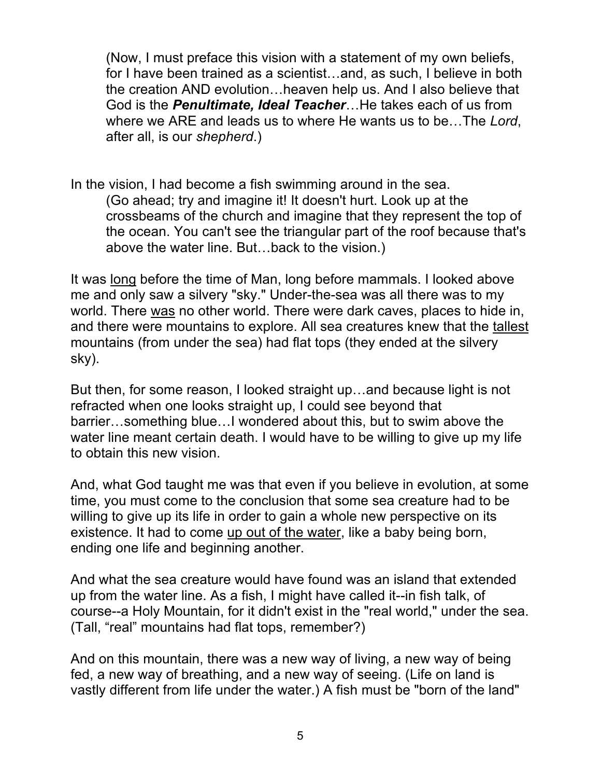(Now, I must preface this vision with a statement of my own beliefs, for I have been trained as a scientist…and, as such, I believe in both the creation AND evolution…heaven help us. And I also believe that God is the *Penultimate, Ideal Teacher*…He takes each of us from where we ARE and leads us to where He wants us to be…The *Lord*, after all, is our *shepherd*.)

In the vision, I had become a fish swimming around in the sea. (Go ahead; try and imagine it! It doesn't hurt. Look up at the crossbeams of the church and imagine that they represent the top of the ocean. You can't see the triangular part of the roof because that's above the water line. But…back to the vision.)

It was long before the time of Man, long before mammals. I looked above me and only saw a silvery "sky." Under-the-sea was all there was to my world. There was no other world. There were dark caves, places to hide in, and there were mountains to explore. All sea creatures knew that the tallest mountains (from under the sea) had flat tops (they ended at the silvery sky).

But then, for some reason, I looked straight up…and because light is not refracted when one looks straight up, I could see beyond that barrier…something blue…I wondered about this, but to swim above the water line meant certain death. I would have to be willing to give up my life to obtain this new vision.

And, what God taught me was that even if you believe in evolution, at some time, you must come to the conclusion that some sea creature had to be willing to give up its life in order to gain a whole new perspective on its existence. It had to come up out of the water, like a baby being born, ending one life and beginning another.

And what the sea creature would have found was an island that extended up from the water line. As a fish, I might have called it--in fish talk, of course--a Holy Mountain, for it didn't exist in the "real world," under the sea. (Tall, "real" mountains had flat tops, remember?)

And on this mountain, there was a new way of living, a new way of being fed, a new way of breathing, and a new way of seeing. (Life on land is vastly different from life under the water.) A fish must be "born of the land"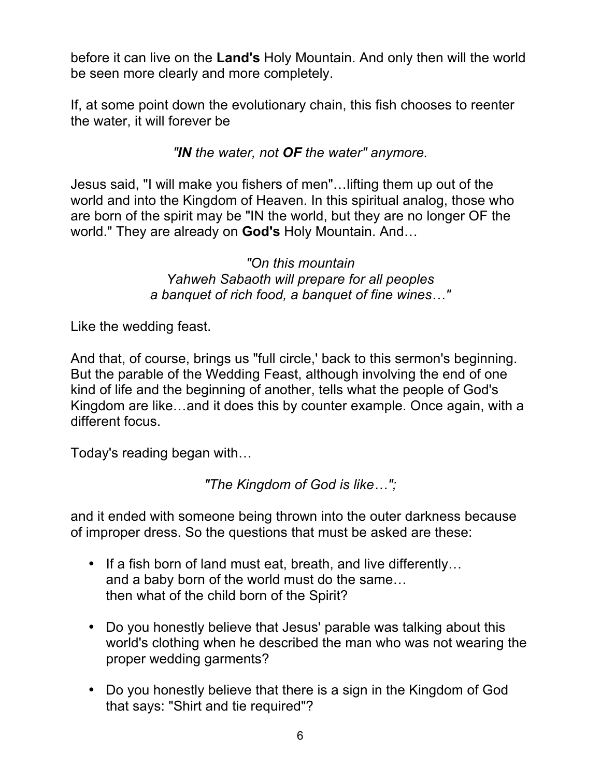before it can live on the **Land's** Holy Mountain. And only then will the world be seen more clearly and more completely.

If, at some point down the evolutionary chain, this fish chooses to reenter the water, it will forever be

## *"IN the water, not OF the water" anymore.*

Jesus said, "I will make you fishers of men"…lifting them up out of the world and into the Kingdom of Heaven. In this spiritual analog, those who are born of the spirit may be "IN the world, but they are no longer OF the world." They are already on **God's** Holy Mountain. And…

> *"On this mountain Yahweh Sabaoth will prepare for all peoples a banquet of rich food, a banquet of fine wines…"*

Like the wedding feast.

And that, of course, brings us "full circle,' back to this sermon's beginning. But the parable of the Wedding Feast, although involving the end of one kind of life and the beginning of another, tells what the people of God's Kingdom are like…and it does this by counter example. Once again, with a different focus.

Today's reading began with…

*"The Kingdom of God is like…";*

and it ended with someone being thrown into the outer darkness because of improper dress. So the questions that must be asked are these:

- If a fish born of land must eat, breath, and live differently... and a baby born of the world must do the same… then what of the child born of the Spirit?
- Do you honestly believe that Jesus' parable was talking about this world's clothing when he described the man who was not wearing the proper wedding garments?
- Do you honestly believe that there is a sign in the Kingdom of God that says: "Shirt and tie required"?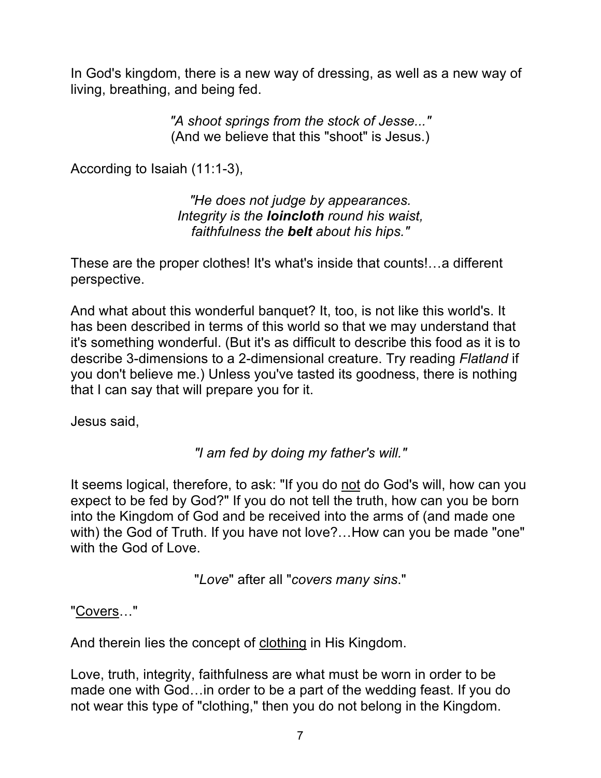In God's kingdom, there is a new way of dressing, as well as a new way of living, breathing, and being fed.

> *"A shoot springs from the stock of Jesse..."* (And we believe that this "shoot" is Jesus.)

According to Isaiah (11:1-3),

*"He does not judge by appearances. Integrity is the loincloth round his waist, faithfulness the belt about his hips."*

These are the proper clothes! It's what's inside that counts!…a different perspective.

And what about this wonderful banquet? It, too, is not like this world's. It has been described in terms of this world so that we may understand that it's something wonderful. (But it's as difficult to describe this food as it is to describe 3-dimensions to a 2-dimensional creature. Try reading *Flatland* if you don't believe me.) Unless you've tasted its goodness, there is nothing that I can say that will prepare you for it.

Jesus said,

*"I am fed by doing my father's will."*

It seems logical, therefore, to ask: "If you do not do God's will, how can you expect to be fed by God?" If you do not tell the truth, how can you be born into the Kingdom of God and be received into the arms of (and made one with) the God of Truth. If you have not love?...How can you be made "one" with the God of Love.

"*Love*" after all "*covers many sins*."

"Covers…"

And therein lies the concept of clothing in His Kingdom.

Love, truth, integrity, faithfulness are what must be worn in order to be made one with God…in order to be a part of the wedding feast. If you do not wear this type of "clothing," then you do not belong in the Kingdom.